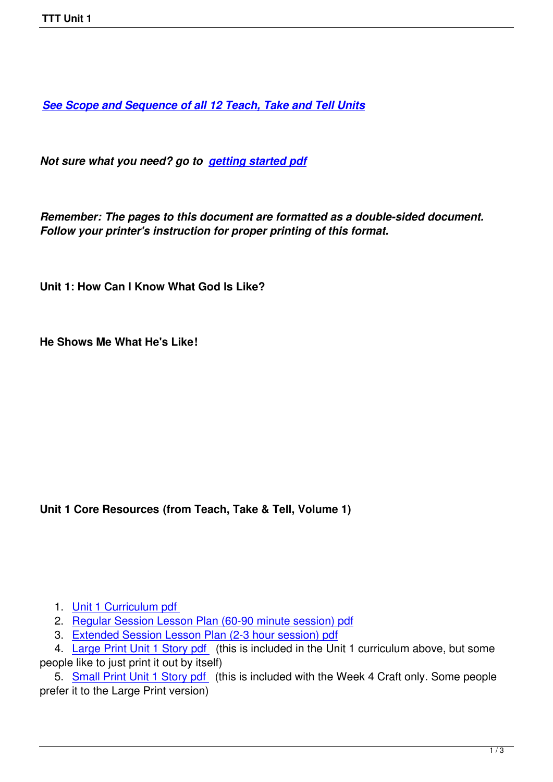*See Scope and Sequence of all 12 Teach, Take and Tell Units*

*[Not sure what you need? go to getting started pdf](images/TTT/8 4 11 TTT/New TTT Website Documents/TTT Book portions/2nd S and S TTT.pdf)*

*Remember: The pages to this d[ocument are forma](images/TTT/8 4 11 TTT/New TTT Website Documents/TTT Book portions/2nd GEtting Started.pdf)tted as a double-sided document. Follow your printer's instruction for proper printing of this format.*

**Unit 1: How Can I Know What God Is Like?** 

**He Shows Me What He's Like!**

**Unit 1 Core Resources (from Teach, Take & Tell, Volume 1)**

1. Unit 1 Curriculum pdf

2. Regular Session Lesson Plan (60-90 minute session) pdf

3. Extended Session Lesson Plan (2-3 hour session) pdf

4. [Large Print Unit 1 Stor](images/TTT/8 4 11 TTT/Unit 1/Unit 1/2nd Unit 1 TTT Book Curr Portions.pdf)y pdf (this is included in the Unit 1 curriculum above, but some peopl[e like to just print it out by itself\)](images/TTT/8%204%2011%20TTT/Unit%201/Unit%201/2nd%20LP%20Unit%201%20R.pdf)

 5. [Small Print Unit 1 Story pdf \(this is included with the W](images/TTT/8%204%2011%20TTT/Unit%201/Unit%201/2nd%20LP%20Unit%201%20X.pdf)eek 4 Craft only. Some people prefer [it to the Large Print version\)](images/TTT/8 4 11 TTT/Unit 1/Unit 1/2nd Unit 1 LP Story.pdf)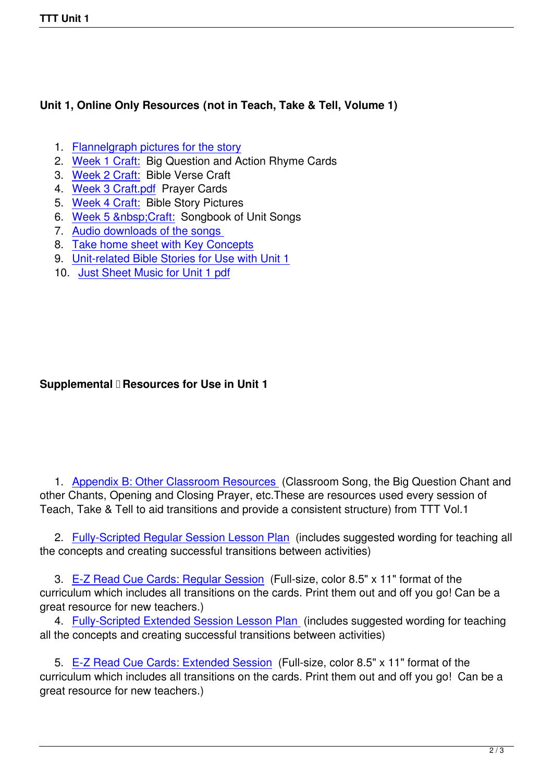## **Unit 1, Online Only Resources (not in Teach, Take & Tell, Volume 1)**

- 1. Flannelgraph pictures for the story
- 2. Week 1 Craft: Big Question and Action Rhyme Cards
- 3. Week 2 Craft: Bible Verse Craft
- 4. [Week 3 Craft.pdf Prayer Cards](images/TTT/8 4 11 TTT/Unit 1/Unit 1/Flannelgraph Pictures.pdf)
- 5. [Week 4 Craft:](images/TTT/8 4 11 TTT/Unit 1/Unit 1/2nd Unit 1 Week 1 Craft CWD.pdf) Bible Story Pictures
- 6. [Week 5 &nbsp](images/TTT/8 4 11 TTT/Unit 1/Unit 1/Week 2 Craft.pdf): Craft: Songbook of Unit Songs
- 7. [Audio downloads](images/TTT/8 4 11 TTT/Unit 1/Unit 1/Week 3 Craft.pdf) of the songs
- 8. [Take home sh](images/TTT/8 4 11 TTT/Unit 1/Unit 1/3rd Week 4 Craft.pdf)eet with Key Concepts
- 9. [Unit-related Bible Sto](images/TTT/8 4 11 TTT/Unit 1/Unit 1/Week 5 Craft.pdf)ries for Use with Unit 1
- 10. [Just Sheet Music for Unit 1 pd](index.php?option=com_content&view=article&id=69:curriculum-music&catid=5)f

## **Supplemental <b>D** Resources for Use in Unit 1

 1. Appendix B: Other Classroom Resources (Classroom Song, the Big Question Chant and other Chants, Opening and Closing Prayer, etc.These are resources used every session of Teach, Take & Tell to aid transitions and provide a consistent structure) from TTT Vol.1

 2. [Fully-Scripted Regular Session Lesson Pla](images/TTT/8 4 11 TTT/New TTT Website Documents/TTT Book portions/TTT v1/TTT 1 Appendix B.pdf)n (includes suggested wording for teaching all the concepts and creating successful transitions between activities)

 3. [E-Z Read Cue Cards: Regular Session \(Full](images/TTT/8 4 11 TTT/Unit 1/Unit 1/Unit 1 FS Lesson Plan.pdf)-size, color 8.5" x 11" format of the curriculum which includes all transitions on the cards. Print them out and off you go! Can be a great resource for new teachers.)

4. [Fully-Scripted Extended Session Lesso](images/TTT/8 4 11 TTT/Unit 1/Unit 1/4th Unit 1R EZ Read Cue Cards.pdf)n Plan (includes suggested wording for teaching all the concepts and creating successful transitions between activities)

 5. [E-Z Read Cue Cards: Extended Session \(Full-](images/TTT/8 4 11 TTT/Unit 1/Unit 1/2nd Unit 1X EZ Read Cue Cards.pdf)size, color 8.5" x 11" format of the curriculum which includes all transitions on the cards. Print them out and off you go! Can be a great resource for new teachers.)